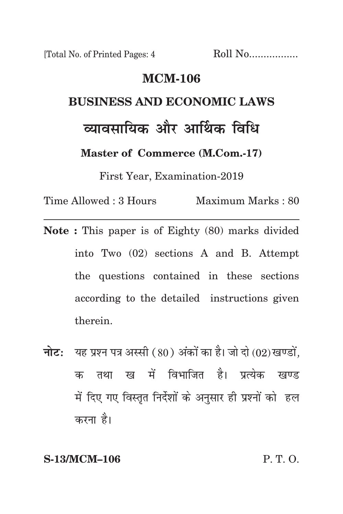[Total No. of Printed Pages: 4 Roll No.................

#### **mcm-106**

# **business and economic laws** <u>त्यावमायिक और आर्थिक विधि</u> **Master of Commerce (M.Com.-17)**

First Year, Examination-2019

Time Allowed : 3 Hours Maximum Marks : 80

- **Note :** This paper is of Eighty (80) marks divided into Two (02) sections A and B. Attempt the questions contained in these sections according to the detailed instructions given therein.
- **नोट:** यह प्रश्न पत्र अस्सी (80) अंकों का है। जो दो (02) खण्डों, क तथा ख में विभाजित है। प्रत्येक खण्ड में दिए गए विस्तृत निर्देशों के अनुसार ही प्रश्नों को हल करना है।

**S-13/MCM–106** P. T. O.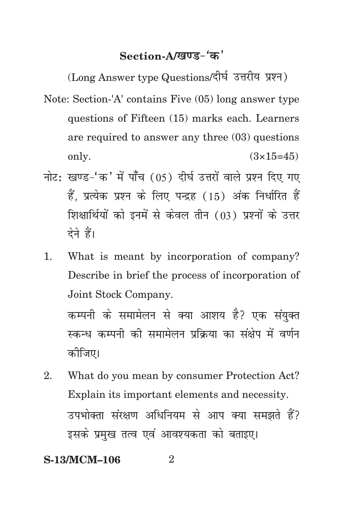## Section-A/<u>खण्ड-</u>'क'

(Long Answer type Questions/दीर्घ उत्तरीय प्रश्न)

- Note: Section-'A' contains Five (05) long answer type questions of Fifteen (15) marks each. Learners are required to answer any three (03) questions only.  $(3 \times 15 = 45)$
- नोट: खण्ड-'क' में पाँच (05) दीर्घ उत्तरों वाले प्रश्न दिए गए हैं, प्रत्येक प्रश्न के लिए पन्द्रह (15) अंक निर्धारित हैं शिक्षार्थियों को इनमें से केवल तीन (03) प्रश्नों के उत्तर देने हैं।
- 1. What is meant by incorporation of company? Describe in brief the process of incorporation of Joint Stock Company.

कम्पनी के समामेलन से क्या आशय है? एक संयक्त स्कन्ध कम्पनी की समामेलन प्रक्रिया का संक्षेप में वर्णन कोजिए।

2. What do you mean by consumer Protection Act? Explain its important elements and necessity. उपभोक्ता संरक्षण अधिनियम से आप क्या समझते हैं? इसके प्रमुख तत्व एवं आवश्यकता को बताइए।

**S-13/MCM-106** 2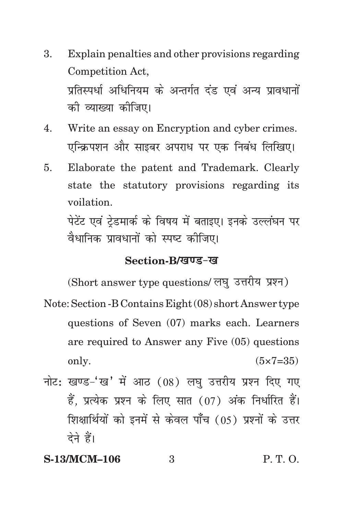- 3. Explain penalties and other provisions regarding Competition Act, प्रतिस्पर्धा अधिनियम के अन्तर्गत दंड एवं अन्य प्रावधानों को व्याख्या कीजिए।
- 4. Write an essay on Encryption and cyber crimes. एन्क्रिपशन और साइबर अपराध पर एक निबंध लिखिए।
- 5. Elaborate the patent and Trademark. Clearly state the statutory provisions regarding its voilation.

पेटेंट एवं टेडमार्क के विषय में बताइए। इनके उल्लंघन पर वैधानिक प्रावधानों को स्पष्ट कीजिए।

#### Section-B/*खण्ड-ख*

(Short answer type questions/ लघु उत्तरीय प्रश्न)

- Note: Section -B Contains Eight (08) short Answer type questions of Seven (07) marks each. Learners are required to Answer any Five (05) questions only.  $(5 \times 7 = 35)$
- नोट: खण्ड-'ख' में आठ  $(08)$  लघ उत्तरीय प्रश्न दिए गए हैं. प्रत्येक प्रश्न के लिए सात (07) अंक निर्धारित हैं। शिक्षार्थियों को इनमें से केवल पाँच (05) प्रश्नों के उत्तर देने हैं।

### **S-13/MCM–106** 3 P. T. O.